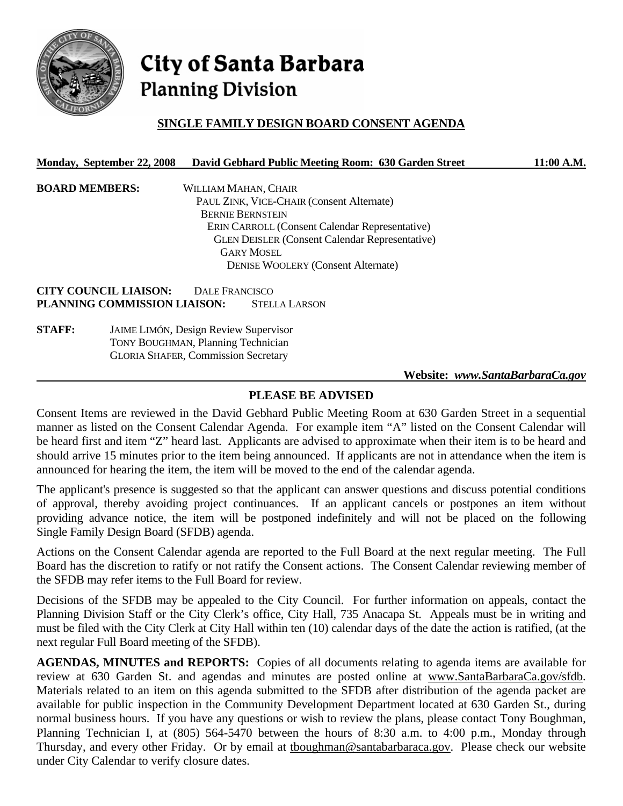

# **City of Santa Barbara Planning Division**

## **SINGLE FAMILY DESIGN BOARD CONSENT AGENDA**

#### **Monday, September 22, 2008 David Gebhard Public Meeting Room: 630 Garden Street 11:00 A.M.**

| <b>BOARD MEMBERS:</b> | WILLIAM MAHAN, CHAIR                                  |
|-----------------------|-------------------------------------------------------|
|                       | PAUL ZINK, VICE-CHAIR (Consent Alternate)             |
|                       | <b>BERNIE BERNSTEIN</b>                               |
|                       | <b>ERIN CARROLL (Consent Calendar Representative)</b> |
|                       | <b>GLEN DEISLER (Consent Calendar Representative)</b> |
|                       | <b>GARY MOSEL</b>                                     |
|                       | <b>DENISE WOOLERY (Consent Alternate)</b>             |
|                       |                                                       |

**CITY COUNCIL LIAISON:** DALE FRANCISCO **PLANNING COMMISSION LIAISON:** STELLA LARSON

**STAFF:** JAIME LIMÓN, Design Review Supervisor TONY BOUGHMAN, Planning Technician GLORIA SHAFER, Commission Secretary

#### **Website:** *www.SantaBarbaraCa.gov*

#### **PLEASE BE ADVISED**

Consent Items are reviewed in the David Gebhard Public Meeting Room at 630 Garden Street in a sequential manner as listed on the Consent Calendar Agenda. For example item "A" listed on the Consent Calendar will be heard first and item "Z" heard last. Applicants are advised to approximate when their item is to be heard and should arrive 15 minutes prior to the item being announced. If applicants are not in attendance when the item is announced for hearing the item, the item will be moved to the end of the calendar agenda.

The applicant's presence is suggested so that the applicant can answer questions and discuss potential conditions of approval, thereby avoiding project continuances. If an applicant cancels or postpones an item without providing advance notice, the item will be postponed indefinitely and will not be placed on the following Single Family Design Board (SFDB) agenda.

Actions on the Consent Calendar agenda are reported to the Full Board at the next regular meeting. The Full Board has the discretion to ratify or not ratify the Consent actions. The Consent Calendar reviewing member of the SFDB may refer items to the Full Board for review.

Decisions of the SFDB may be appealed to the City Council. For further information on appeals, contact the Planning Division Staff or the City Clerk's office, City Hall, 735 Anacapa St. Appeals must be in writing and must be filed with the City Clerk at City Hall within ten (10) calendar days of the date the action is ratified, (at the next regular Full Board meeting of the SFDB).

**AGENDAS, MINUTES and REPORTS:** Copies of all documents relating to agenda items are available for review at 630 Garden St. and agendas and minutes are posted online at www.SantaBarbaraCa.gov/sfdb. Materials related to an item on this agenda submitted to the SFDB after distribution of the agenda packet are available for public inspection in the Community Development Department located at 630 Garden St., during normal business hours. If you have any questions or wish to review the plans, please contact Tony Boughman, Planning Technician I, at (805) 564-5470 between the hours of 8:30 a.m. to 4:00 p.m., Monday through Thursday, and every other Friday. Or by email at tboughman@santabarbaraca.gov. Please check our website under City Calendar to verify closure dates.